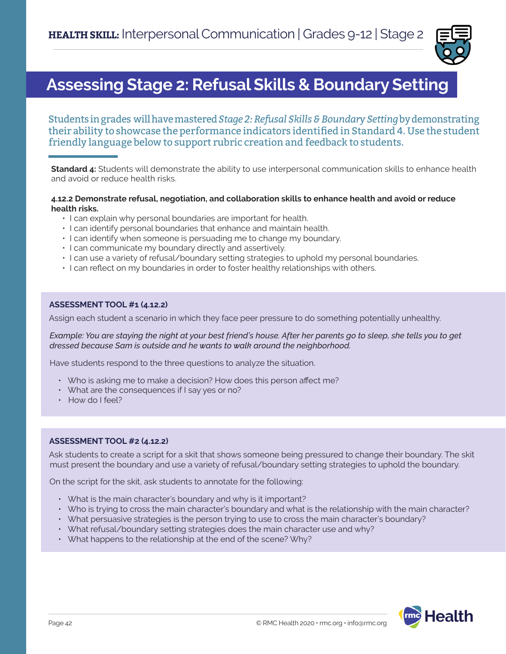

# **Assessing Stage 2: Refusal Skills & Boundary Setting**

Students in grades will have mastered *Stage 2: Refusal Skills & Boundary Setting* by demonstrating their ability to showcase the performance indicators identified in Standard 4. Use the student friendly language below to support rubric creation and feedback to students.

**Standard 4:** Students will demonstrate the ability to use interpersonal communication skills to enhance health and avoid or reduce health risks.

#### **4.12.2 Demonstrate refusal, negotiation, and collaboration skills to enhance health and avoid or reduce health risks.**

- I can explain why personal boundaries are important for health.
- I can identify personal boundaries that enhance and maintain health.
- I can identify when someone is persuading me to change my boundary.
- I can communicate my boundary directly and assertively.
- I can use a variety of refusal/boundary setting strategies to uphold my personal boundaries.
- I can reflect on my boundaries in order to foster healthy relationships with others.

# **ASSESSMENT TOOL #1 (4.12.2)**

Assign each student a scenario in which they face peer pressure to do something potentially unhealthy.

*Example: You are staying the night at your best friend's house. After her parents go to sleep, she tells you to get dressed because Sam is outside and he wants to walk around the neighborhood.*

Have students respond to the three questions to analyze the situation.

- Who is asking me to make a decision? How does this person affect me?
- What are the consequences if I say yes or no?
- How do I feel?

# **ASSESSMENT TOOL #2 (4.12.2)**

Ask students to create a script for a skit that shows someone being pressured to change their boundary. The skit must present the boundary and use a variety of refusal/boundary setting strategies to uphold the boundary.

On the script for the skit, ask students to annotate for the following:

- What is the main character's boundary and why is it important?
- Who is trying to cross the main character's boundary and what is the relationship with the main character?
- What persuasive strategies is the person trying to use to cross the main character's boundary?
- What refusal/boundary setting strategies does the main character use and why?
- What happens to the relationship at the end of the scene? Why?

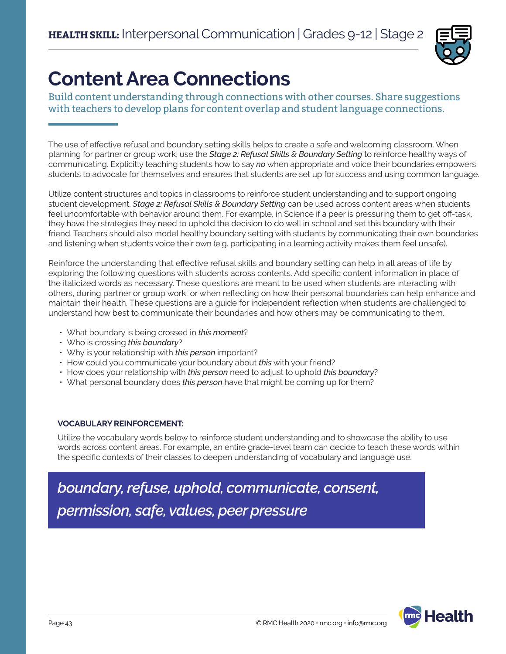

# **Content Area Connections**

Build content understanding through connections with other courses. Share suggestions with teachers to develop plans for content overlap and student language connections.

The use of effective refusal and boundary setting skills helps to create a safe and welcoming classroom. When planning for partner or group work, use the *Stage 2: Refusal Skills & Boundary Setting* to reinforce healthy ways of communicating. Explicitly teaching students how to say *no* when appropriate and voice their boundaries empowers students to advocate for themselves and ensures that students are set up for success and using common language.

Utilize content structures and topics in classrooms to reinforce student understanding and to support ongoing student development. *Stage 2: Refusal Skills & Boundary Setting* can be used across content areas when students feel uncomfortable with behavior around them. For example, in Science if a peer is pressuring them to get off-task, they have the strategies they need to uphold the decision to do well in school and set this boundary with their friend. Teachers should also model healthy boundary setting with students by communicating their own boundaries and listening when students voice their own (e.g. participating in a learning activity makes them feel unsafe).

Reinforce the understanding that effective refusal skills and boundary setting can help in all areas of life by exploring the following questions with students across contents. Add specific content information in place of the italicized words as necessary. These questions are meant to be used when students are interacting with others, during partner or group work, or when reflecting on how their personal boundaries can help enhance and maintain their health. These questions are a guide for independent reflection when students are challenged to understand how best to communicate their boundaries and how others may be communicating to them.

- What boundary is being crossed in *this moment*?
- Who is crossing *this boundary*?
- Why is your relationship with *this person* important?
- How could you communicate your boundary about *this* with your friend?
- How does your relationship with *this person* need to adjust to uphold *this boundary*?
- What personal boundary does *this person* have that might be coming up for them?

# **VOCABULARY REINFORCEMENT:**

Utilize the vocabulary words below to reinforce student understanding and to showcase the ability to use words across content areas. For example, an entire grade-level team can decide to teach these words within the specific contexts of their classes to deepen understanding of vocabulary and language use.

*boundary, refuse, uphold, communicate, consent, permission, safe, values, peer pressure*